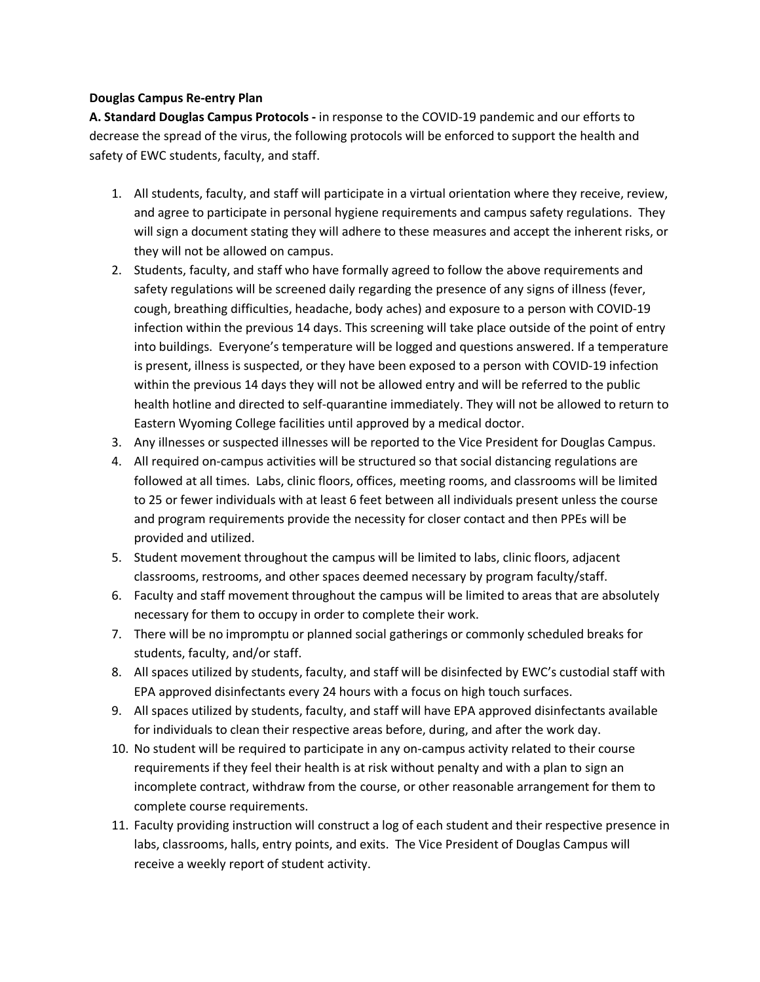#### **Douglas Campus Re-entry Plan**

**A. Standard Douglas Campus Protocols -** in response to the COVID-19 pandemic and our efforts to decrease the spread of the virus, the following protocols will be enforced to support the health and safety of EWC students, faculty, and staff.

- 1. All students, faculty, and staff will participate in a virtual orientation where they receive, review, and agree to participate in personal hygiene requirements and campus safety regulations. They will sign a document stating they will adhere to these measures and accept the inherent risks, or they will not be allowed on campus.
- 2. Students, faculty, and staff who have formally agreed to follow the above requirements and safety regulations will be screened daily regarding the presence of any signs of illness (fever, cough, breathing difficulties, headache, body aches) and exposure to a person with COVID-19 infection within the previous 14 days. This screening will take place outside of the point of entry into buildings. Everyone's temperature will be logged and questions answered. If a temperature is present, illness is suspected, or they have been exposed to a person with COVID-19 infection within the previous 14 days they will not be allowed entry and will be referred to the public health hotline and directed to self-quarantine immediately. They will not be allowed to return to Eastern Wyoming College facilities until approved by a medical doctor.
- 3. Any illnesses or suspected illnesses will be reported to the Vice President for Douglas Campus.
- 4. All required on-campus activities will be structured so that social distancing regulations are followed at all times. Labs, clinic floors, offices, meeting rooms, and classrooms will be limited to 25 or fewer individuals with at least 6 feet between all individuals present unless the course and program requirements provide the necessity for closer contact and then PPEs will be provided and utilized.
- 5. Student movement throughout the campus will be limited to labs, clinic floors, adjacent classrooms, restrooms, and other spaces deemed necessary by program faculty/staff.
- 6. Faculty and staff movement throughout the campus will be limited to areas that are absolutely necessary for them to occupy in order to complete their work.
- 7. There will be no impromptu or planned social gatherings or commonly scheduled breaks for students, faculty, and/or staff.
- 8. All spaces utilized by students, faculty, and staff will be disinfected by EWC's custodial staff with EPA approved disinfectants every 24 hours with a focus on high touch surfaces.
- 9. All spaces utilized by students, faculty, and staff will have EPA approved disinfectants available for individuals to clean their respective areas before, during, and after the work day.
- 10. No student will be required to participate in any on-campus activity related to their course requirements if they feel their health is at risk without penalty and with a plan to sign an incomplete contract, withdraw from the course, or other reasonable arrangement for them to complete course requirements.
- 11. Faculty providing instruction will construct a log of each student and their respective presence in labs, classrooms, halls, entry points, and exits. The Vice President of Douglas Campus will receive a weekly report of student activity.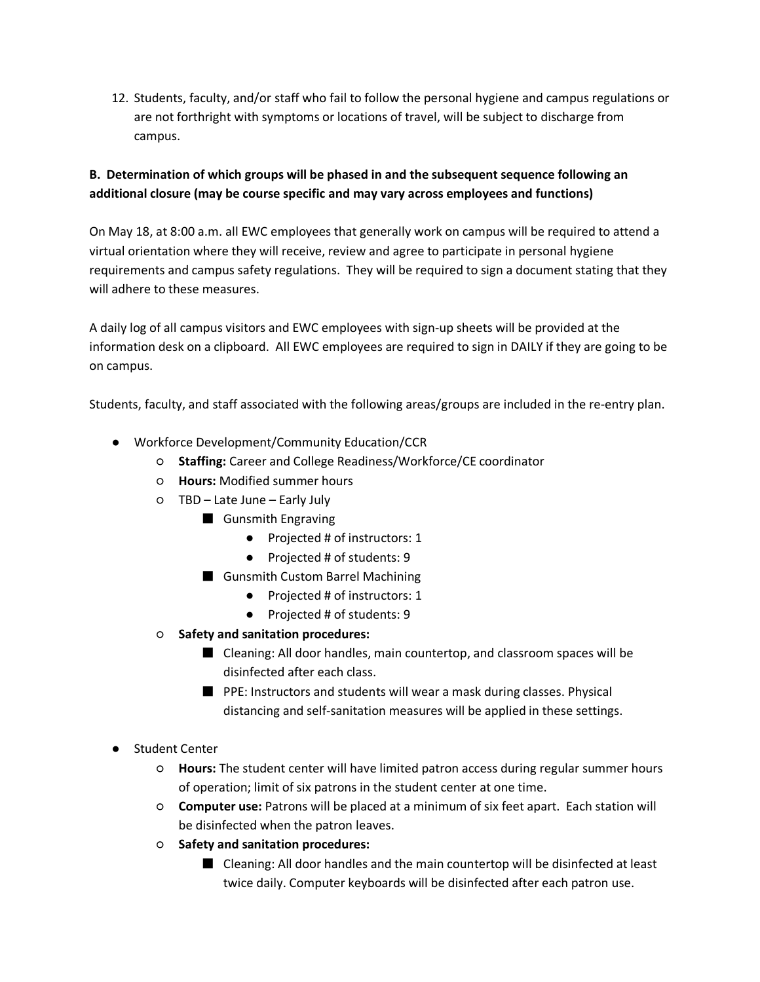12. Students, faculty, and/or staff who fail to follow the personal hygiene and campus regulations or are not forthright with symptoms or locations of travel, will be subject to discharge from campus.

# **B. Determination of which groups will be phased in and the subsequent sequence following an additional closure (may be course specific and may vary across employees and functions)**

On May 18, at 8:00 a.m. all EWC employees that generally work on campus will be required to attend a virtual orientation where they will receive, review and agree to participate in personal hygiene requirements and campus safety regulations. They will be required to sign a document stating that they will adhere to these measures.

A daily log of all campus visitors and EWC employees with sign-up sheets will be provided at the information desk on a clipboard. All EWC employees are required to sign in DAILY if they are going to be on campus.

Students, faculty, and staff associated with the following areas/groups are included in the re-entry plan.

- Workforce Development/Community Education/CCR
	- **Staffing:** Career and College Readiness/Workforce/CE coordinator
	- **Hours:** Modified summer hours
	- TBD Late June Early July
		- Gunsmith Engraving
			- Projected # of instructors: 1
			- Projected # of students: 9
		- Gunsmith Custom Barrel Machining
			- Projected # of instructors: 1
			- Projected # of students: 9
	- **Safety and sanitation procedures:**
		- Cleaning: All door handles, main countertop, and classroom spaces will be disinfected after each class.
		- PPE: Instructors and students will wear a mask during classes. Physical distancing and self-sanitation measures will be applied in these settings.
- Student Center
	- **Hours:** The student center will have limited patron access during regular summer hours of operation; limit of six patrons in the student center at one time.
	- **Computer use:** Patrons will be placed at a minimum of six feet apart. Each station will be disinfected when the patron leaves.
	- **Safety and sanitation procedures:**
		- Cleaning: All door handles and the main countertop will be disinfected at least twice daily. Computer keyboards will be disinfected after each patron use.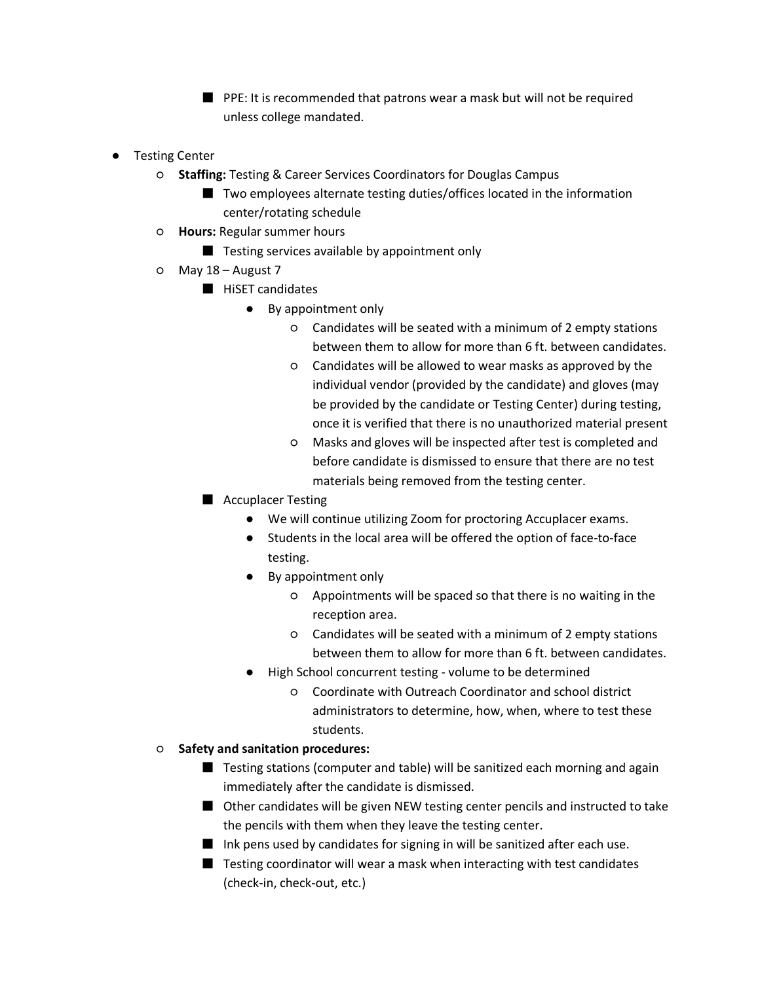■ PPE: It is recommended that patrons wear a mask but will not be required unless college mandated.

- Testing Center
	- **Staffing:** Testing & Career Services Coordinators for Douglas Campus
		- Two employees alternate testing duties/offices located in the information center/rotating schedule
	- **Hours:** Regular summer hours
		- Testing services available by appointment only
	- May 18 August 7
		- HiSET candidates
			- By appointment only
				- Candidates will be seated with a minimum of 2 empty stations between them to allow for more than 6 ft. between candidates.
				- Candidates will be allowed to wear masks as approved by the individual vendor (provided by the candidate) and gloves (may be provided by the candidate or Testing Center) during testing, once it is verified that there is no unauthorized material present
				- Masks and gloves will be inspected after test is completed and before candidate is dismissed to ensure that there are no test materials being removed from the testing center.
		- Accuplacer Testing
			- We will continue utilizing Zoom for proctoring Accuplacer exams.
			- Students in the local area will be offered the option of face-to-face testing.
			- By appointment only
				- Appointments will be spaced so that there is no waiting in the reception area.
				- Candidates will be seated with a minimum of 2 empty stations between them to allow for more than 6 ft. between candidates.
			- High School concurrent testing volume to be determined
				- Coordinate with Outreach Coordinator and school district administrators to determine, how, when, where to test these students.
	- **Safety and sanitation procedures:**
		- Testing stations (computer and table) will be sanitized each morning and again immediately after the candidate is dismissed.
		- Other candidates will be given NEW testing center pencils and instructed to take the pencils with them when they leave the testing center.
		- Ink pens used by candidates for signing in will be sanitized after each use.
		- Testing coordinator will wear a mask when interacting with test candidates (check-in, check-out, etc.)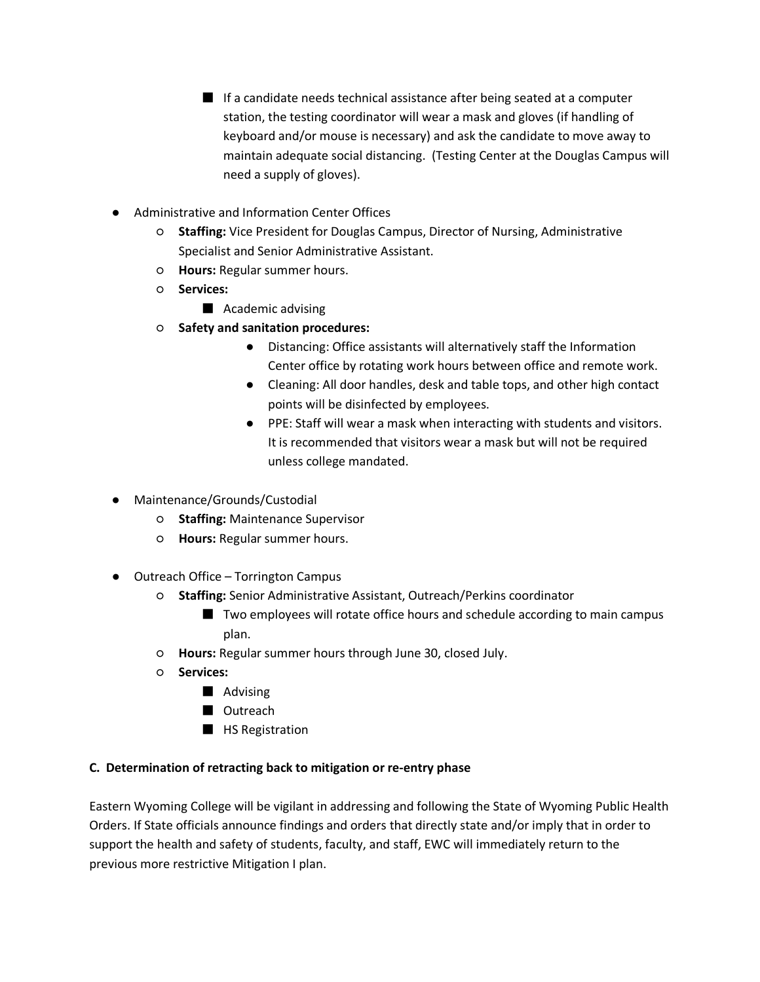- If a candidate needs technical assistance after being seated at a computer station, the testing coordinator will wear a mask and gloves (if handling of keyboard and/or mouse is necessary) and ask the candidate to move away to maintain adequate social distancing. (Testing Center at the Douglas Campus will need a supply of gloves).
- Administrative and Information Center Offices
	- **Staffing:** Vice President for Douglas Campus, Director of Nursing, Administrative Specialist and Senior Administrative Assistant.
	- **Hours:** Regular summer hours.
	- **Services:**
		- Academic advising
	- **Safety and sanitation procedures:**
		- Distancing: Office assistants will alternatively staff the Information Center office by rotating work hours between office and remote work.
		- Cleaning: All door handles, desk and table tops, and other high contact points will be disinfected by employees.
		- PPE: Staff will wear a mask when interacting with students and visitors. It is recommended that visitors wear a mask but will not be required unless college mandated.
- Maintenance/Grounds/Custodial
	- **Staffing:** Maintenance Supervisor
	- **Hours:** Regular summer hours.
- Outreach Office Torrington Campus
	- **Staffing:** Senior Administrative Assistant, Outreach/Perkins coordinator
		- Two employees will rotate office hours and schedule according to main campus plan.
	- **Hours:** Regular summer hours through June 30, closed July.
	- **Services:**
		- Advising
		- Outreach
		- HS Registration

### **C. Determination of retracting back to mitigation or re-entry phase**

Eastern Wyoming College will be vigilant in addressing and following the State of Wyoming Public Health Orders. If State officials announce findings and orders that directly state and/or imply that in order to support the health and safety of students, faculty, and staff, EWC will immediately return to the previous more restrictive Mitigation I plan.